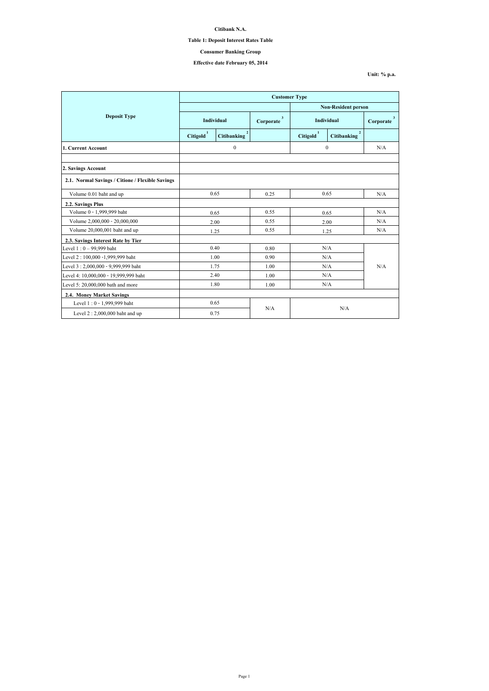|                                                  | <b>Customer Type</b>       |                                      |                           |                       |                    |                           |
|--------------------------------------------------|----------------------------|--------------------------------------|---------------------------|-----------------------|--------------------|---------------------------|
|                                                  | <b>Non-Resident person</b> |                                      |                           |                       |                    |                           |
| <b>Deposit Type</b>                              | Individual                 |                                      | $\mathbf{3}$<br>Corporate | <b>Individual</b>     |                    | $\mathbf{3}$<br>Corporate |
|                                                  | <b>Citigold</b>            | $\overline{2}$<br><b>Citibanking</b> |                           | Citigold <sup>1</sup> | <b>Citibanking</b> |                           |
| 1. Current Account                               |                            | $\boldsymbol{0}$                     |                           | $\mathbf{0}$          |                    | N/A                       |
|                                                  |                            |                                      |                           |                       |                    |                           |
| 2. Savings Account                               |                            |                                      |                           |                       |                    |                           |
| 2.1. Normal Savings / Citione / Flexible Savings |                            |                                      |                           |                       |                    |                           |
| Volume 0.01 baht and up                          | 0.65                       |                                      | 0.25                      | 0.65                  |                    | N/A                       |
| 2.2. Savings Plus                                |                            |                                      |                           |                       |                    |                           |
| Volume 0 - 1,999,999 baht                        | 0.65                       |                                      | 0.55                      |                       | 0.65               | N/A                       |
| Volume 2,000,000 - 20,000,000                    |                            | 2.00                                 | 0.55                      |                       | 2.00               | N/A                       |
| Volume 20,000,001 baht and up                    |                            | 1.25                                 | 0.55                      | 1.25                  |                    | N/A                       |
| 2.3. Savings Interest Rate by Tier               |                            |                                      |                           |                       |                    |                           |
| Level $1:0 - 99,999$ baht                        |                            | 0.40                                 | 0.80                      |                       | N/A                |                           |
| Level 2:100,000 -1,999,999 baht                  |                            | 1.00                                 | 0.90                      | N/A                   |                    |                           |
| Level 3:2,000,000 - 9,999,999 baht               |                            | 1.75                                 | 1.00                      | N/A                   |                    | N/A                       |
| Level 4: 10,000,000 - 19,999,999 baht            | 2.40                       |                                      | 1.00                      | N/A                   |                    |                           |
| Level 5: 20,000,000 bath and more                | 1.80                       |                                      | 1.00                      | N/A                   |                    |                           |
| <b>2.4. Money Market Savings</b>                 |                            |                                      |                           |                       |                    |                           |
| Level 1:0 - 1,999,999 baht                       |                            | 0.65                                 |                           | N/A                   |                    |                           |
| Level $2:2,000,000$ baht and up                  |                            | 0.75                                 | N/A                       |                       |                    |                           |

**Citibank N.A.**

**Table 1: Deposit Interest Rates Table**

**Effective date February 05, 2014**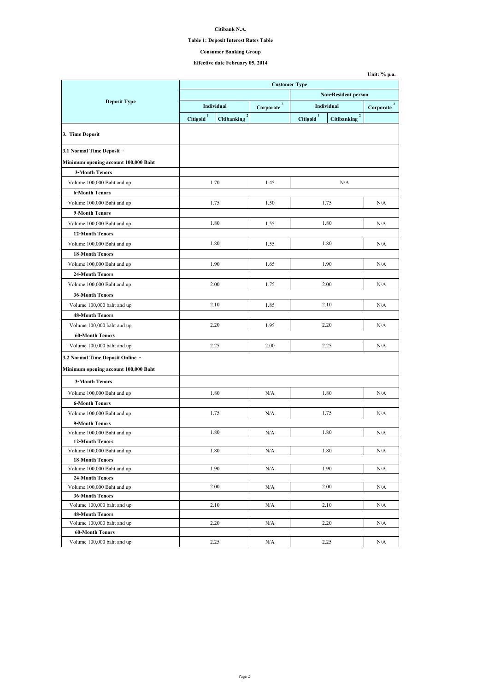#### **Citibank N.A.**

#### **Table 1: Deposit Interest Rates Table**

## **Effective date February 05, 2014**

| <b>Non-Resident person</b><br><b>Deposit Type</b><br>$\mathbf{3}$<br>$3^{\circ}$<br><b>Individual</b><br>Individual<br>Corporate<br>Corporate<br>$\overline{2}$<br>$\overline{2}$<br>Citigold <sup>1</sup><br>Citigold <sup>1</sup><br><b>Citibanking</b><br><b>Citibanking</b><br>Minimum opening account 100,000 Baht<br><b>3-Month Tenors</b><br>1.70<br>N/A<br>Volume 100,000 Baht and up<br>1.45<br><b>6-Month Tenors</b><br>1.75<br>1.75<br>N/A<br>Volume 100,000 Baht and up<br>1.50<br>9-Month Tenors<br>1.80<br>1.80<br>N/A<br>Volume 100,000 Baht and up<br>1.55<br><b>12-Month Tenors</b><br>1.80<br>1.80<br>Volume 100,000 Baht and up<br>N/A<br>1.55<br><b>18-Month Tenors</b><br>1.90<br>1.90<br>Volume 100,000 Baht and up<br>1.65<br>N/A<br><b>24-Month Tenors</b><br>2.00<br>2.00<br>Volume 100,000 Baht and up<br>1.75<br>N/A<br><b>36-Month Tenors</b><br>2.10<br>2.10<br>Volume 100,000 baht and up<br>1.85<br>N/A<br><b>48-Month Tenors</b><br>2.20<br>Volume 100,000 baht and up<br>2.20<br>1.95<br>N/A<br><b>60-Month Tenors</b><br>2.25<br>2.25<br>2.00<br>N/A<br>Volume 100,000 baht and up<br>Minimum opening account 100,000 Baht<br><b>3-Month Tenors</b><br>1.80<br>1.80<br>Volume 100,000 Baht and up<br>N/A<br>N/A<br><b>6-Month Tenors</b><br>1.75<br>1.75<br>N/A<br>Volume 100,000 Baht and up<br>N/A<br>9-Month Tenors<br>1.80<br>1.80<br>Volume 100,000 Baht and up<br>N/A<br>N/A<br><b>12-Month Tenors</b><br>1.80<br>1.80<br>Volume 100,000 Baht and up<br>N/A<br>N/A<br><b>18-Month Tenors</b><br>Volume 100,000 Baht and up<br>1.90<br>1.90<br>N/A<br>N/A<br><b>24-Month Tenors</b><br>Volume 100,000 Baht and up<br>2.00<br>2.00<br>N/A<br>N/A<br><b>36-Month Tenors</b><br>Volume 100,000 baht and up<br>2.10<br>2.10<br>N/A<br>N/A<br><b>48-Month Tenors</b><br>2.20<br>2.20<br>Volume 100,000 baht and up<br>N/A<br>N/A<br><b>60-Month Tenors</b><br>2.25<br>2.25 |                                  | <b>Customer Type</b> |  |     |  |  |     |
|--------------------------------------------------------------------------------------------------------------------------------------------------------------------------------------------------------------------------------------------------------------------------------------------------------------------------------------------------------------------------------------------------------------------------------------------------------------------------------------------------------------------------------------------------------------------------------------------------------------------------------------------------------------------------------------------------------------------------------------------------------------------------------------------------------------------------------------------------------------------------------------------------------------------------------------------------------------------------------------------------------------------------------------------------------------------------------------------------------------------------------------------------------------------------------------------------------------------------------------------------------------------------------------------------------------------------------------------------------------------------------------------------------------------------------------------------------------------------------------------------------------------------------------------------------------------------------------------------------------------------------------------------------------------------------------------------------------------------------------------------------------------------------------------------------------------------------------------------------------------------------------------------------------|----------------------------------|----------------------|--|-----|--|--|-----|
|                                                                                                                                                                                                                                                                                                                                                                                                                                                                                                                                                                                                                                                                                                                                                                                                                                                                                                                                                                                                                                                                                                                                                                                                                                                                                                                                                                                                                                                                                                                                                                                                                                                                                                                                                                                                                                                                                                              |                                  |                      |  |     |  |  |     |
|                                                                                                                                                                                                                                                                                                                                                                                                                                                                                                                                                                                                                                                                                                                                                                                                                                                                                                                                                                                                                                                                                                                                                                                                                                                                                                                                                                                                                                                                                                                                                                                                                                                                                                                                                                                                                                                                                                              |                                  |                      |  |     |  |  |     |
|                                                                                                                                                                                                                                                                                                                                                                                                                                                                                                                                                                                                                                                                                                                                                                                                                                                                                                                                                                                                                                                                                                                                                                                                                                                                                                                                                                                                                                                                                                                                                                                                                                                                                                                                                                                                                                                                                                              |                                  |                      |  |     |  |  |     |
|                                                                                                                                                                                                                                                                                                                                                                                                                                                                                                                                                                                                                                                                                                                                                                                                                                                                                                                                                                                                                                                                                                                                                                                                                                                                                                                                                                                                                                                                                                                                                                                                                                                                                                                                                                                                                                                                                                              | 3. Time Deposit                  |                      |  |     |  |  |     |
|                                                                                                                                                                                                                                                                                                                                                                                                                                                                                                                                                                                                                                                                                                                                                                                                                                                                                                                                                                                                                                                                                                                                                                                                                                                                                                                                                                                                                                                                                                                                                                                                                                                                                                                                                                                                                                                                                                              | 3.1 Normal Time Deposit -        |                      |  |     |  |  |     |
|                                                                                                                                                                                                                                                                                                                                                                                                                                                                                                                                                                                                                                                                                                                                                                                                                                                                                                                                                                                                                                                                                                                                                                                                                                                                                                                                                                                                                                                                                                                                                                                                                                                                                                                                                                                                                                                                                                              |                                  |                      |  |     |  |  |     |
|                                                                                                                                                                                                                                                                                                                                                                                                                                                                                                                                                                                                                                                                                                                                                                                                                                                                                                                                                                                                                                                                                                                                                                                                                                                                                                                                                                                                                                                                                                                                                                                                                                                                                                                                                                                                                                                                                                              |                                  |                      |  |     |  |  |     |
|                                                                                                                                                                                                                                                                                                                                                                                                                                                                                                                                                                                                                                                                                                                                                                                                                                                                                                                                                                                                                                                                                                                                                                                                                                                                                                                                                                                                                                                                                                                                                                                                                                                                                                                                                                                                                                                                                                              |                                  |                      |  |     |  |  |     |
|                                                                                                                                                                                                                                                                                                                                                                                                                                                                                                                                                                                                                                                                                                                                                                                                                                                                                                                                                                                                                                                                                                                                                                                                                                                                                                                                                                                                                                                                                                                                                                                                                                                                                                                                                                                                                                                                                                              |                                  |                      |  |     |  |  |     |
|                                                                                                                                                                                                                                                                                                                                                                                                                                                                                                                                                                                                                                                                                                                                                                                                                                                                                                                                                                                                                                                                                                                                                                                                                                                                                                                                                                                                                                                                                                                                                                                                                                                                                                                                                                                                                                                                                                              |                                  |                      |  |     |  |  |     |
|                                                                                                                                                                                                                                                                                                                                                                                                                                                                                                                                                                                                                                                                                                                                                                                                                                                                                                                                                                                                                                                                                                                                                                                                                                                                                                                                                                                                                                                                                                                                                                                                                                                                                                                                                                                                                                                                                                              |                                  |                      |  |     |  |  |     |
|                                                                                                                                                                                                                                                                                                                                                                                                                                                                                                                                                                                                                                                                                                                                                                                                                                                                                                                                                                                                                                                                                                                                                                                                                                                                                                                                                                                                                                                                                                                                                                                                                                                                                                                                                                                                                                                                                                              |                                  |                      |  |     |  |  |     |
|                                                                                                                                                                                                                                                                                                                                                                                                                                                                                                                                                                                                                                                                                                                                                                                                                                                                                                                                                                                                                                                                                                                                                                                                                                                                                                                                                                                                                                                                                                                                                                                                                                                                                                                                                                                                                                                                                                              |                                  |                      |  |     |  |  |     |
|                                                                                                                                                                                                                                                                                                                                                                                                                                                                                                                                                                                                                                                                                                                                                                                                                                                                                                                                                                                                                                                                                                                                                                                                                                                                                                                                                                                                                                                                                                                                                                                                                                                                                                                                                                                                                                                                                                              |                                  |                      |  |     |  |  |     |
|                                                                                                                                                                                                                                                                                                                                                                                                                                                                                                                                                                                                                                                                                                                                                                                                                                                                                                                                                                                                                                                                                                                                                                                                                                                                                                                                                                                                                                                                                                                                                                                                                                                                                                                                                                                                                                                                                                              |                                  |                      |  |     |  |  |     |
|                                                                                                                                                                                                                                                                                                                                                                                                                                                                                                                                                                                                                                                                                                                                                                                                                                                                                                                                                                                                                                                                                                                                                                                                                                                                                                                                                                                                                                                                                                                                                                                                                                                                                                                                                                                                                                                                                                              |                                  |                      |  |     |  |  |     |
|                                                                                                                                                                                                                                                                                                                                                                                                                                                                                                                                                                                                                                                                                                                                                                                                                                                                                                                                                                                                                                                                                                                                                                                                                                                                                                                                                                                                                                                                                                                                                                                                                                                                                                                                                                                                                                                                                                              |                                  |                      |  |     |  |  |     |
|                                                                                                                                                                                                                                                                                                                                                                                                                                                                                                                                                                                                                                                                                                                                                                                                                                                                                                                                                                                                                                                                                                                                                                                                                                                                                                                                                                                                                                                                                                                                                                                                                                                                                                                                                                                                                                                                                                              |                                  |                      |  |     |  |  |     |
|                                                                                                                                                                                                                                                                                                                                                                                                                                                                                                                                                                                                                                                                                                                                                                                                                                                                                                                                                                                                                                                                                                                                                                                                                                                                                                                                                                                                                                                                                                                                                                                                                                                                                                                                                                                                                                                                                                              |                                  |                      |  |     |  |  |     |
|                                                                                                                                                                                                                                                                                                                                                                                                                                                                                                                                                                                                                                                                                                                                                                                                                                                                                                                                                                                                                                                                                                                                                                                                                                                                                                                                                                                                                                                                                                                                                                                                                                                                                                                                                                                                                                                                                                              |                                  |                      |  |     |  |  |     |
|                                                                                                                                                                                                                                                                                                                                                                                                                                                                                                                                                                                                                                                                                                                                                                                                                                                                                                                                                                                                                                                                                                                                                                                                                                                                                                                                                                                                                                                                                                                                                                                                                                                                                                                                                                                                                                                                                                              |                                  |                      |  |     |  |  |     |
|                                                                                                                                                                                                                                                                                                                                                                                                                                                                                                                                                                                                                                                                                                                                                                                                                                                                                                                                                                                                                                                                                                                                                                                                                                                                                                                                                                                                                                                                                                                                                                                                                                                                                                                                                                                                                                                                                                              |                                  |                      |  |     |  |  |     |
|                                                                                                                                                                                                                                                                                                                                                                                                                                                                                                                                                                                                                                                                                                                                                                                                                                                                                                                                                                                                                                                                                                                                                                                                                                                                                                                                                                                                                                                                                                                                                                                                                                                                                                                                                                                                                                                                                                              |                                  |                      |  |     |  |  |     |
|                                                                                                                                                                                                                                                                                                                                                                                                                                                                                                                                                                                                                                                                                                                                                                                                                                                                                                                                                                                                                                                                                                                                                                                                                                                                                                                                                                                                                                                                                                                                                                                                                                                                                                                                                                                                                                                                                                              |                                  |                      |  |     |  |  |     |
|                                                                                                                                                                                                                                                                                                                                                                                                                                                                                                                                                                                                                                                                                                                                                                                                                                                                                                                                                                                                                                                                                                                                                                                                                                                                                                                                                                                                                                                                                                                                                                                                                                                                                                                                                                                                                                                                                                              |                                  |                      |  |     |  |  |     |
|                                                                                                                                                                                                                                                                                                                                                                                                                                                                                                                                                                                                                                                                                                                                                                                                                                                                                                                                                                                                                                                                                                                                                                                                                                                                                                                                                                                                                                                                                                                                                                                                                                                                                                                                                                                                                                                                                                              | 3.2 Normal Time Deposit Online - |                      |  |     |  |  |     |
|                                                                                                                                                                                                                                                                                                                                                                                                                                                                                                                                                                                                                                                                                                                                                                                                                                                                                                                                                                                                                                                                                                                                                                                                                                                                                                                                                                                                                                                                                                                                                                                                                                                                                                                                                                                                                                                                                                              |                                  |                      |  |     |  |  |     |
|                                                                                                                                                                                                                                                                                                                                                                                                                                                                                                                                                                                                                                                                                                                                                                                                                                                                                                                                                                                                                                                                                                                                                                                                                                                                                                                                                                                                                                                                                                                                                                                                                                                                                                                                                                                                                                                                                                              |                                  |                      |  |     |  |  |     |
|                                                                                                                                                                                                                                                                                                                                                                                                                                                                                                                                                                                                                                                                                                                                                                                                                                                                                                                                                                                                                                                                                                                                                                                                                                                                                                                                                                                                                                                                                                                                                                                                                                                                                                                                                                                                                                                                                                              |                                  |                      |  |     |  |  |     |
|                                                                                                                                                                                                                                                                                                                                                                                                                                                                                                                                                                                                                                                                                                                                                                                                                                                                                                                                                                                                                                                                                                                                                                                                                                                                                                                                                                                                                                                                                                                                                                                                                                                                                                                                                                                                                                                                                                              |                                  |                      |  |     |  |  |     |
|                                                                                                                                                                                                                                                                                                                                                                                                                                                                                                                                                                                                                                                                                                                                                                                                                                                                                                                                                                                                                                                                                                                                                                                                                                                                                                                                                                                                                                                                                                                                                                                                                                                                                                                                                                                                                                                                                                              |                                  |                      |  |     |  |  |     |
|                                                                                                                                                                                                                                                                                                                                                                                                                                                                                                                                                                                                                                                                                                                                                                                                                                                                                                                                                                                                                                                                                                                                                                                                                                                                                                                                                                                                                                                                                                                                                                                                                                                                                                                                                                                                                                                                                                              |                                  |                      |  |     |  |  |     |
|                                                                                                                                                                                                                                                                                                                                                                                                                                                                                                                                                                                                                                                                                                                                                                                                                                                                                                                                                                                                                                                                                                                                                                                                                                                                                                                                                                                                                                                                                                                                                                                                                                                                                                                                                                                                                                                                                                              |                                  |                      |  |     |  |  |     |
|                                                                                                                                                                                                                                                                                                                                                                                                                                                                                                                                                                                                                                                                                                                                                                                                                                                                                                                                                                                                                                                                                                                                                                                                                                                                                                                                                                                                                                                                                                                                                                                                                                                                                                                                                                                                                                                                                                              |                                  |                      |  |     |  |  |     |
|                                                                                                                                                                                                                                                                                                                                                                                                                                                                                                                                                                                                                                                                                                                                                                                                                                                                                                                                                                                                                                                                                                                                                                                                                                                                                                                                                                                                                                                                                                                                                                                                                                                                                                                                                                                                                                                                                                              |                                  |                      |  |     |  |  |     |
|                                                                                                                                                                                                                                                                                                                                                                                                                                                                                                                                                                                                                                                                                                                                                                                                                                                                                                                                                                                                                                                                                                                                                                                                                                                                                                                                                                                                                                                                                                                                                                                                                                                                                                                                                                                                                                                                                                              |                                  |                      |  |     |  |  |     |
|                                                                                                                                                                                                                                                                                                                                                                                                                                                                                                                                                                                                                                                                                                                                                                                                                                                                                                                                                                                                                                                                                                                                                                                                                                                                                                                                                                                                                                                                                                                                                                                                                                                                                                                                                                                                                                                                                                              |                                  |                      |  |     |  |  |     |
|                                                                                                                                                                                                                                                                                                                                                                                                                                                                                                                                                                                                                                                                                                                                                                                                                                                                                                                                                                                                                                                                                                                                                                                                                                                                                                                                                                                                                                                                                                                                                                                                                                                                                                                                                                                                                                                                                                              |                                  |                      |  |     |  |  |     |
|                                                                                                                                                                                                                                                                                                                                                                                                                                                                                                                                                                                                                                                                                                                                                                                                                                                                                                                                                                                                                                                                                                                                                                                                                                                                                                                                                                                                                                                                                                                                                                                                                                                                                                                                                                                                                                                                                                              |                                  |                      |  |     |  |  |     |
|                                                                                                                                                                                                                                                                                                                                                                                                                                                                                                                                                                                                                                                                                                                                                                                                                                                                                                                                                                                                                                                                                                                                                                                                                                                                                                                                                                                                                                                                                                                                                                                                                                                                                                                                                                                                                                                                                                              |                                  |                      |  |     |  |  |     |
|                                                                                                                                                                                                                                                                                                                                                                                                                                                                                                                                                                                                                                                                                                                                                                                                                                                                                                                                                                                                                                                                                                                                                                                                                                                                                                                                                                                                                                                                                                                                                                                                                                                                                                                                                                                                                                                                                                              |                                  |                      |  |     |  |  |     |
|                                                                                                                                                                                                                                                                                                                                                                                                                                                                                                                                                                                                                                                                                                                                                                                                                                                                                                                                                                                                                                                                                                                                                                                                                                                                                                                                                                                                                                                                                                                                                                                                                                                                                                                                                                                                                                                                                                              |                                  |                      |  |     |  |  |     |
|                                                                                                                                                                                                                                                                                                                                                                                                                                                                                                                                                                                                                                                                                                                                                                                                                                                                                                                                                                                                                                                                                                                                                                                                                                                                                                                                                                                                                                                                                                                                                                                                                                                                                                                                                                                                                                                                                                              |                                  |                      |  |     |  |  |     |
|                                                                                                                                                                                                                                                                                                                                                                                                                                                                                                                                                                                                                                                                                                                                                                                                                                                                                                                                                                                                                                                                                                                                                                                                                                                                                                                                                                                                                                                                                                                                                                                                                                                                                                                                                                                                                                                                                                              | Volume 100,000 baht and up       |                      |  | N/A |  |  | N/A |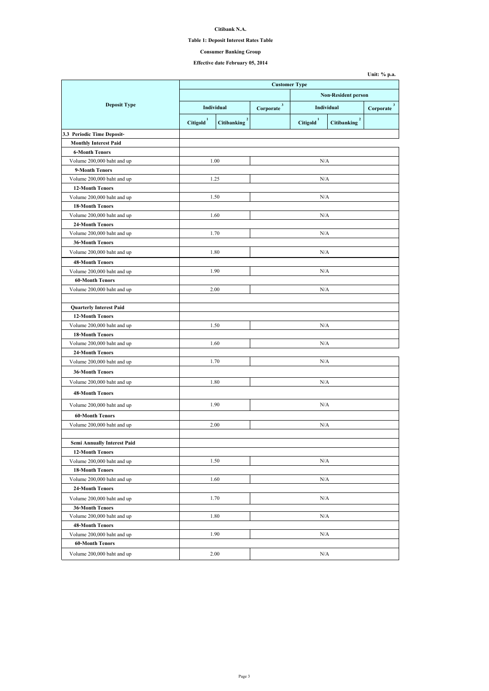## **Citibank N.A.**

#### **Table 1: Deposit Interest Rates Table**

## **Effective date February 05, 2014**

|                                    | <b>Customer Type</b>  |                    |                            |                       |                                      |                           |  |  |
|------------------------------------|-----------------------|--------------------|----------------------------|-----------------------|--------------------------------------|---------------------------|--|--|
|                                    |                       |                    | <b>Non-Resident person</b> |                       |                                      |                           |  |  |
| <b>Deposit Type</b>                |                       | Individual         | $\mathbf{3}$<br>Corporate  | <b>Individual</b>     |                                      | $\mathbf{3}$<br>Corporate |  |  |
|                                    | Citigold <sup>1</sup> | <b>Citibanking</b> |                            | Citigold <sup>1</sup> | $\overline{2}$<br><b>Citibanking</b> |                           |  |  |
| 3.3 Periodic Time Deposit-         |                       |                    |                            |                       |                                      |                           |  |  |
| <b>Monthly Interest Paid</b>       |                       |                    |                            |                       |                                      |                           |  |  |
| <b>6-Month Tenors</b>              |                       |                    |                            |                       |                                      |                           |  |  |
| Volume 200,000 baht and up         |                       | 1.00               |                            | N/A                   |                                      |                           |  |  |
| 9-Month Tenors                     |                       |                    |                            |                       |                                      |                           |  |  |
| Volume 200,000 baht and up         |                       | 1.25               |                            | N/A                   |                                      |                           |  |  |
| <b>12-Month Tenors</b>             |                       |                    |                            |                       |                                      |                           |  |  |
| Volume 200,000 baht and up         |                       | 1.50               |                            | N/A                   |                                      |                           |  |  |
| <b>18-Month Tenors</b>             |                       |                    |                            |                       |                                      |                           |  |  |
| Volume 200,000 baht and up         |                       | 1.60               |                            | N/A                   |                                      |                           |  |  |
| <b>24-Month Tenors</b>             |                       |                    |                            |                       |                                      |                           |  |  |
| Volume 200,000 baht and up         |                       | 1.70               |                            | N/A                   |                                      |                           |  |  |
| <b>36-Month Tenors</b>             |                       |                    |                            |                       |                                      |                           |  |  |
| Volume 200,000 baht and up         |                       | 1.80               |                            | N/A                   |                                      |                           |  |  |
| <b>48-Month Tenors</b>             |                       |                    |                            |                       |                                      |                           |  |  |
| Volume 200,000 baht and up         |                       | 1.90               |                            | N/A                   |                                      |                           |  |  |
| <b>60-Month Tenors</b>             |                       |                    |                            |                       |                                      |                           |  |  |
| Volume 200,000 baht and up         |                       | 2.00               |                            | N/A                   |                                      |                           |  |  |
| <b>Quarterly Interest Paid</b>     |                       |                    |                            |                       |                                      |                           |  |  |
| <b>12-Month Tenors</b>             |                       |                    |                            |                       |                                      |                           |  |  |
| Volume 200,000 baht and up         |                       | 1.50               |                            | N/A                   |                                      |                           |  |  |
| <b>18-Month Tenors</b>             |                       |                    |                            |                       |                                      |                           |  |  |
| Volume 200,000 baht and up         |                       | 1.60               |                            | N/A                   |                                      |                           |  |  |
| <b>24-Month Tenors</b>             |                       |                    |                            |                       |                                      |                           |  |  |
| Volume 200,000 baht and up         |                       | 1.70               |                            | N/A                   |                                      |                           |  |  |
| <b>36-Month Tenors</b>             |                       |                    |                            |                       |                                      |                           |  |  |
|                                    |                       |                    |                            |                       |                                      |                           |  |  |
| Volume 200,000 baht and up         |                       | 1.80               |                            | N/A                   |                                      |                           |  |  |
| <b>48-Month Tenors</b>             |                       |                    |                            |                       |                                      |                           |  |  |
| Volume 200,000 baht and up         |                       | 1.90               |                            | N/A                   |                                      |                           |  |  |
| <b>60-Month Tenors</b>             |                       |                    |                            |                       |                                      |                           |  |  |
| Volume 200,000 baht and up         |                       | 2.00               |                            | N/A                   |                                      |                           |  |  |
|                                    |                       |                    |                            |                       |                                      |                           |  |  |
| <b>Semi Annually Interest Paid</b> |                       |                    |                            |                       |                                      |                           |  |  |
| <b>12-Month Tenors</b>             |                       |                    |                            |                       |                                      |                           |  |  |
| Volume 200,000 baht and up         |                       | 1.50               |                            | N/A                   |                                      |                           |  |  |
| <b>18-Month Tenors</b>             |                       |                    |                            |                       |                                      |                           |  |  |
| Volume 200,000 baht and up         |                       | 1.60               |                            | N/A                   |                                      |                           |  |  |
| <b>24-Month Tenors</b>             |                       |                    |                            |                       |                                      |                           |  |  |
| Volume 200,000 baht and up         |                       | 1.70               | N/A                        |                       |                                      |                           |  |  |
| <b>36-Month Tenors</b>             |                       |                    |                            |                       |                                      |                           |  |  |
| Volume 200,000 baht and up         |                       | 1.80               |                            | N/A                   |                                      |                           |  |  |
| <b>48-Month Tenors</b>             |                       |                    |                            |                       |                                      |                           |  |  |
| Volume 200,000 baht and up         |                       | 1.90               |                            | N/A                   |                                      |                           |  |  |
| <b>60-Month Tenors</b>             |                       |                    |                            |                       |                                      |                           |  |  |
| Volume 200,000 baht and up         |                       | 2.00               |                            | N/A                   |                                      |                           |  |  |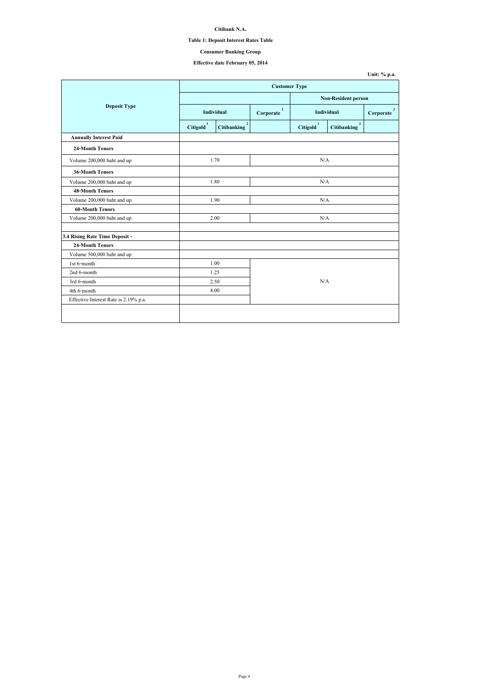## **Citibank N.A.**

#### **Table 1: Deposit Interest Rates Table**

## **Effective date February 05, 2014**

|                                       |                       | <b>Customer Type</b>               |     |                            |                                      |                           |  |
|---------------------------------------|-----------------------|------------------------------------|-----|----------------------------|--------------------------------------|---------------------------|--|
|                                       |                       |                                    |     | <b>Non-Resident person</b> |                                      |                           |  |
| <b>Deposit Type</b>                   |                       | Individual                         |     | <b>Individual</b>          |                                      | $\mathbf{3}$<br>Corporate |  |
|                                       | Citigold <sup>1</sup> | $\mathbf{2}$<br><b>Citibanking</b> |     | Citigold <sup>1</sup>      | $\overline{2}$<br><b>Citibanking</b> |                           |  |
| <b>Annually Interest Paid</b>         |                       |                                    |     |                            |                                      |                           |  |
| <b>24-Month Tenors</b>                |                       |                                    |     |                            |                                      |                           |  |
| Volume 200,000 baht and up            |                       | 1.70                               |     | N/A                        |                                      |                           |  |
| <b>36-Month Tenors</b>                |                       |                                    |     |                            |                                      |                           |  |
| Volume 200,000 baht and up            |                       | 1.80                               |     | N/A                        |                                      |                           |  |
| <b>48-Month Tenors</b>                |                       |                                    |     |                            |                                      |                           |  |
| Volume 200,000 baht and up            |                       | 1.90                               | N/A |                            |                                      |                           |  |
| <b>60-Month Tenors</b>                |                       |                                    |     |                            |                                      |                           |  |
| Volume 200,000 baht and up            |                       | 2.00                               |     | N/A                        |                                      |                           |  |
| 3.4 Rising Rate Time Deposit -        |                       |                                    |     |                            |                                      |                           |  |
| <b>24-Month Tenors</b>                |                       |                                    |     |                            |                                      |                           |  |
| Volume 500,000 baht and up            |                       |                                    |     |                            |                                      |                           |  |
| 1st 6-month                           |                       | 1.00                               |     |                            |                                      |                           |  |
| 2nd 6-month                           |                       | 1.25                               |     |                            |                                      |                           |  |
| 3rd 6-month                           |                       | 2.50                               |     | N/A                        |                                      |                           |  |
| 4th 6-month                           |                       | 4.00                               |     |                            |                                      |                           |  |
| Effective Interest Rate is 2.19% p.a. |                       |                                    |     |                            |                                      |                           |  |
|                                       |                       |                                    |     |                            |                                      |                           |  |
|                                       |                       |                                    |     |                            |                                      |                           |  |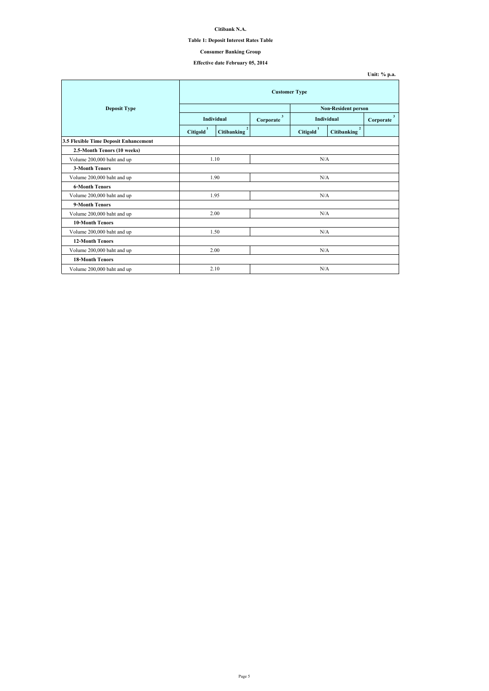| Unit: $\%$ p.a. |  |
|-----------------|--|
|-----------------|--|

## **Citibank N.A.**

# **Table 1: Deposit Interest Rates Table**

# **Effective date February 05, 2014**

|                                       | <b>Customer Type</b>       |                                      |                           |                       |                                   |                           |
|---------------------------------------|----------------------------|--------------------------------------|---------------------------|-----------------------|-----------------------------------|---------------------------|
| <b>Deposit Type</b>                   | <b>Non-Resident person</b> |                                      |                           |                       |                                   |                           |
|                                       |                            | <b>Individual</b>                    | $\mathbf{3}$<br>Corporate |                       | <b>Individual</b>                 | $\mathbf{3}$<br>Corporate |
|                                       | Citigold <sup>1</sup>      | $\overline{2}$<br><b>Citibanking</b> |                           | Citigold <sup>1</sup> | $2^{\circ}$<br><b>Citibanking</b> |                           |
| 3.5 Flexible Time Deposit Enhancement |                            |                                      |                           |                       |                                   |                           |
| 2.5-Month Tenors (10 weeks)           |                            |                                      |                           |                       |                                   |                           |
| Volume 200,000 baht and up            | 1.10                       |                                      | N/A                       |                       |                                   |                           |
| <b>3-Month Tenors</b>                 |                            |                                      |                           |                       |                                   |                           |
| Volume 200,000 baht and up            | 1.90                       |                                      | N/A                       |                       |                                   |                           |
| <b>6-Month Tenors</b>                 |                            |                                      |                           |                       |                                   |                           |
| Volume 200,000 baht and up            |                            | 1.95                                 | N/A                       |                       |                                   |                           |
| 9-Month Tenors                        |                            |                                      |                           |                       |                                   |                           |
| Volume 200,000 baht and up            |                            | 2.00                                 |                           | N/A                   |                                   |                           |
| <b>10-Month Tenors</b>                |                            |                                      |                           |                       |                                   |                           |
| Volume 200,000 baht and up            |                            | 1.50                                 |                           | N/A                   |                                   |                           |
| <b>12-Month Tenors</b>                |                            |                                      |                           |                       |                                   |                           |
| Volume 200,000 baht and up            | 2.00                       |                                      | N/A                       |                       |                                   |                           |
| <b>18-Month Tenors</b>                |                            |                                      |                           |                       |                                   |                           |
| Volume 200,000 baht and up            |                            | 2.10                                 |                           | N/A                   |                                   |                           |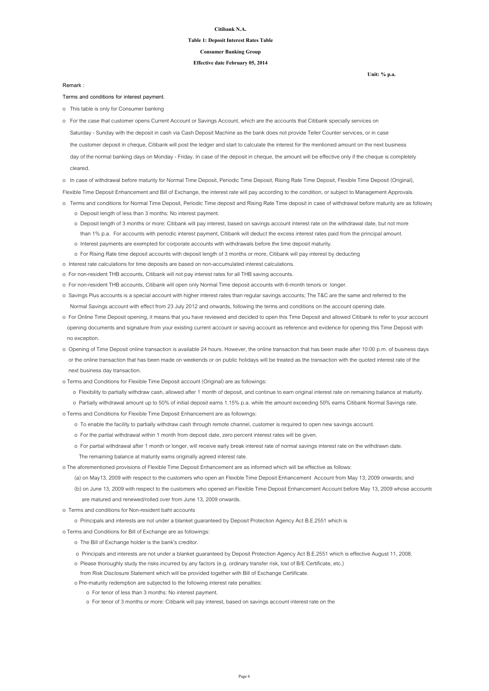#### **Citibank N.A.**

#### **Table 1: Deposit Interest Rates Table**

**Effective date February 05, 2014**

**Consumer Banking Group**

**Terms and conditions for interest payment.**

o This table is only for Consumer banking

- Saturday Sunday with the deposit in cash via Cash Deposit Machine as the bank does not provide Teller Counter services, or in case the customer deposit in cheque, Citibank will post the ledger and start to calculate the interest for the mentioned amount on the next business day of the normal banking days on Monday - Friday. In case of the deposit in cheque, the amount will be effective only if the cheque is completely cleared. o For the case that customer opens Current Account or Savings Account, which are the accounts that Citibank specially services on
- o In case of withdrawal before maturity for Normal Time Deposit, Periodic Time Deposit, Rising Rate Time Deposit, Flexible Time Deposit (Original),

Flexible Time Deposit Enhancement and Bill of Exchange, the interest rate will pay according to the condition, or subject to Management Approvals.

- o Terms and conditions for Normal Time Deposit, Periodic Time deposit and Rising Rate Time deposit in case of withdrawal before maturity are as followings:
	- o Deposit length of less than 3 months: No interest payment.
	- o Deposit length of 3 months or more: Citibank will pay interest, based on savings account interest rate on the withdrawal date, but not more than 1% p.a. For accounts with periodic interest payment, Citibank will deduct the excess interest rates paid from the principal amount.
	- o Interest payments are exempted for corporate accounts with withdrawals before the time deposit maturity.
	- o For Rising Rate time deposit accounts with deposit length of 3 months or more, Citibank will pay interest by deducting
- o Interest rate calculations for time deposits are based on non-accumulated interest calculations.
- o For non-resident THB accounts, Citibank will not pay interest rates for all THB saving accounts.
- o For non-resident THB accounts, Citibank will open only Normal Time deposit accounts with 6-month tenors or longer.
- o Savings Plus accounts is a special account with higher interest rates than regular savings accounts; The T&C are the same and referred to the Normal Savings account with effect from 23 July 2012 and onwards, following the terms and conditions on the account opening date.
- o For Online Time Deposit opening, it means that you have reviewed and decided to open this Time Deposit and allowed Citibank to refer to your account opening documents and signature from your existing current account or saving account as reference and evidence for opening this Time Deposit with no exception.
- o Opening of Time Deposit online transaction is available 24 hours. However, the online transaction that has been made after 10:00 p.m. of business days or the online transaction that has been made on weekends or on public holidays will be treated as the transaction with the quoted interest rate of the

next business day transaction.

- o Terms and Conditions for Flexible Time Deposit account (Original) are as followings:
	- o Flexibility to partially withdraw cash, allowed after 1 month of deposit, and continue to earn original interest rate on remaining balance at maturity.
	- o Partially withdrawal amount up to 50% of initial deposit earns 1.15% p.a. while the amount exceeding 50% earns Citibank Normal Savings rate.
- o Terms and Conditions for Flexible Time Deposit Enhancement are as followings:
	- o To enable the facility to partially withdraw cash through remote channel, customer is required to open new savings account.
	- o For the partial withdrawal within 1 month from deposit date, zero percent interest rates will be given.
	- o For partial withdrawal after 1 month or longer, will receive early break interest rate of normal savings interest rate on the withdrawn date.
		- The remaining balance at maturity earns originally agreed interest rate.
- o The aforementioned provisions of Flexible Time Deposit Enhancement are as informed which will be effective as follows:
	- (a) on May13, 2009 with respect to the customers who open an Flexible Time Deposit Enhancement Account from May 13, 2009 onwards; and
	- (b) on June 13, 2009 with respect to the customers who opened an Flexible Time Deposit Enhancement Account before May 13, 2009 whose accounts are matured and renewed/rolled over from June 13, 2009 onwards.
- o Terms and conditions for Non-resident baht accounts
	- o Principals and interests are not under a blanket guaranteed by Deposit Protection Agency Act B.E.2551 which is
- o Terms and Conditions for Bill of Exchange are as followings:
	- o The Bill of Exchange holder is the bank's creditor.
	- o Principals and interests are not under a blanket guaranteed by Deposit Protection Agency Act B.E.2551 which is effective August 11, 2008.
	- o Please thoroughly study the risks incurred by any factors (e.g. ordinary transfer risk, lost of B/E Certificate, etc.)
	- from Risk Disclosure Statement which will be provided together with Bill of Exchange Certificate.
	- o Pre-maturity redemption are subjected to the following interest rate penalties:
		- o For tenor of less than 3 months: No interest payment.
		- o For tenor of 3 months or more: Citibank will pay interest, based on savings account interest rate on the

**Remark :**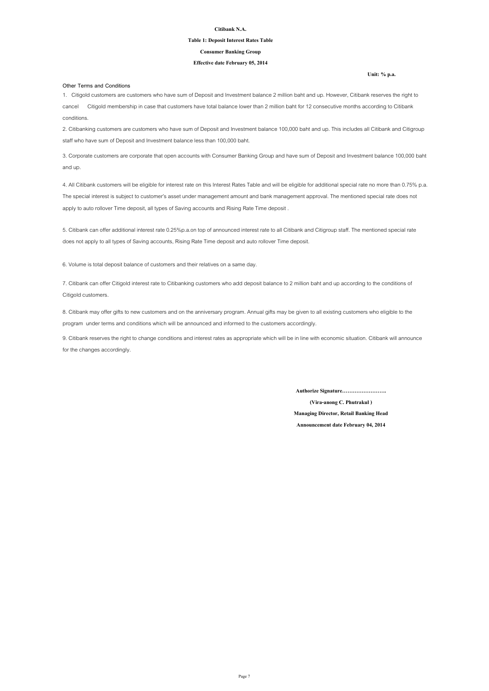#### **Citibank N.A.**

#### **Table 1: Deposit Interest Rates Table**

#### **Effective date February 05, 2014**

#### **Consumer Banking Group**

#### **Other Terms and Conditions**

**Announcement date February 04, 2014**

**(Vira-anong C. Phutrakul )**

**Managing Director, Retail Banking Head**

**Authorize Signature…………………….**

8. Citibank may offer gifts to new customers and on the anniversary program. Annual gifts may be given to all existing customers who eligible to the program under terms and conditions which will be announced and informed to the customers accordingly.

9. Citibank reserves the right to change conditions and interest rates as appropriate which will be in line with economic situation. Citibank will announce for the changes accordingly.

1. Citigold customers are customers who have sum of Deposit and Investment balance 2 million baht and up. However, Citibank reserves the right to cancel Citigold membership in case that customers have total balance lower than 2 million baht for 12 consecutive months according to Citibank conditions.

2. Citibanking customers are customers who have sum of Deposit and Investment balance 100,000 baht and up. This includes all Citibank and Citigroup staff who have sum of Deposit and Investment balance less than 100,000 baht.

3. Corporate customers are corporate that open accounts with Consumer Banking Group and have sum of Deposit and Investment balance 100,000 baht and up.

4. All Citibank customers will be eligible for interest rate on this Interest Rates Table and will be eligible for additional special rate no more than 0.75% p.a. The special interest is subject to customer's asset under management amount and bank management approval. The mentioned special rate does not apply to auto rollover Time deposit, all types of Saving accounts and Rising Rate Time deposit .

5. Citibank can offer additional interest rate 0.25%p.a.on top of announced interest rate to all Citibank and Citigroup staff. The mentioned special rate does not apply to all types of Saving accounts, Rising Rate Time deposit and auto rollover Time deposit.

7. Citibank can offer Citigold interest rate to Citibanking customers who add deposit balance to 2 million baht and up according to the conditions of Citigold customers.

6. Volume is total deposit balance of customers and their relatives on a same day.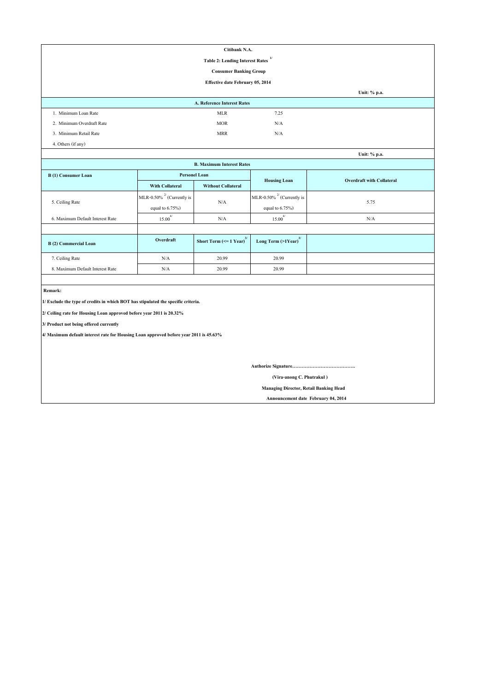|                                                                                       | Citibank N.A.                   |                                                                            |                                 |                                  |  |  |  |  |
|---------------------------------------------------------------------------------------|---------------------------------|----------------------------------------------------------------------------|---------------------------------|----------------------------------|--|--|--|--|
|                                                                                       |                                 | <b>Table 2: Lending Interest Rates</b>                                     | 1/                              |                                  |  |  |  |  |
|                                                                                       |                                 | <b>Consumer Banking Group</b>                                              |                                 |                                  |  |  |  |  |
|                                                                                       |                                 | <b>Effective date February 05, 2014</b>                                    |                                 |                                  |  |  |  |  |
|                                                                                       |                                 |                                                                            |                                 | Unit: % p.a.                     |  |  |  |  |
|                                                                                       |                                 | A. Reference Interest Rates                                                |                                 |                                  |  |  |  |  |
| 1. Minimum Loan Rate                                                                  |                                 | <b>MLR</b>                                                                 | 7.25                            |                                  |  |  |  |  |
| 2. Minimum Overdraft Rate                                                             |                                 | <b>MOR</b>                                                                 | N/A                             |                                  |  |  |  |  |
| 3. Minimum Retail Rate                                                                |                                 | <b>MRR</b>                                                                 | N/A                             |                                  |  |  |  |  |
| 4. Others (if any)                                                                    |                                 |                                                                            |                                 |                                  |  |  |  |  |
|                                                                                       |                                 |                                                                            |                                 | Unit: % p.a.                     |  |  |  |  |
|                                                                                       |                                 | <b>B. Maximum Interest Rates</b>                                           |                                 |                                  |  |  |  |  |
| <b>B</b> (1) Consumer Loan                                                            | <b>Personel Loan</b>            |                                                                            | <b>Housing Loan</b>             | <b>Overdraft with Collateral</b> |  |  |  |  |
|                                                                                       | <b>With Collateral</b>          | <b>Without Collateral</b>                                                  |                                 |                                  |  |  |  |  |
| 5. Ceiling Rate                                                                       | MLR-0.50% $^{27}$ (Currently is | N/A                                                                        | MLR-0.50% $^{27}$ (Currently is | 5.75                             |  |  |  |  |
|                                                                                       | equal to $6.75\%$ )             |                                                                            | equal to $6.75\%$ )             |                                  |  |  |  |  |
| 6. Maximum Default Interest Rate                                                      | $15.00^{4/}$                    | N/A                                                                        | $15.00^{4/}$                    | N/A                              |  |  |  |  |
|                                                                                       |                                 |                                                                            |                                 |                                  |  |  |  |  |
| <b>B</b> (2) Commercial Loan                                                          | Overdraft                       | Short Term ( $\leq 1$ Year) <sup>3/</sup> Long Term (>1Year) <sup>3/</sup> |                                 |                                  |  |  |  |  |
| 7. Ceiling Rate                                                                       | N/A                             | 20.99                                                                      | 20.99                           |                                  |  |  |  |  |
| 8. Maximum Default Interest Rate                                                      | $\rm N/A$                       | 20.99                                                                      | 20.99                           |                                  |  |  |  |  |
|                                                                                       |                                 |                                                                            |                                 |                                  |  |  |  |  |
| Remark:                                                                               |                                 |                                                                            |                                 |                                  |  |  |  |  |
| 1/ Exclude the type of credits in which BOT has stipulated the specific criteria.     |                                 |                                                                            |                                 |                                  |  |  |  |  |
| 2/ Ceiling rate for Housing Loan approved before year 2011 is 20.32%                  |                                 |                                                                            |                                 |                                  |  |  |  |  |
| 3/ Product not being offered currently                                                |                                 |                                                                            |                                 |                                  |  |  |  |  |
| 4/ Maximum default interest rate for Housing Loan approved before year 2011 is 45.63% |                                 |                                                                            |                                 |                                  |  |  |  |  |
|                                                                                       |                                 |                                                                            |                                 |                                  |  |  |  |  |
|                                                                                       |                                 |                                                                            |                                 |                                  |  |  |  |  |
|                                                                                       |                                 |                                                                            |                                 |                                  |  |  |  |  |
| (Vira-anong C. Phutrakul)                                                             |                                 |                                                                            |                                 |                                  |  |  |  |  |
| <b>Managing Director, Retail Banking Head</b>                                         |                                 |                                                                            |                                 |                                  |  |  |  |  |

 **Announcement date February 04, 2014**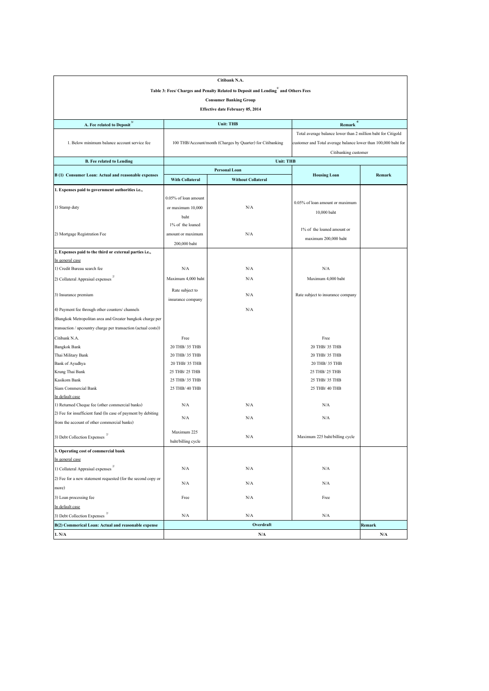|                                                                |                              | Citibank N.A.                                                                                  |                                                                |        |  |  |  |
|----------------------------------------------------------------|------------------------------|------------------------------------------------------------------------------------------------|----------------------------------------------------------------|--------|--|--|--|
|                                                                |                              | Table 3: Fees/ Charges and Penalty Related to Deposit and Lending <sup>1</sup> and Others Fees |                                                                |        |  |  |  |
|                                                                |                              | <b>Consumer Banking Group</b>                                                                  |                                                                |        |  |  |  |
|                                                                |                              | <b>Effective date February 05, 2014</b>                                                        |                                                                |        |  |  |  |
|                                                                |                              |                                                                                                |                                                                |        |  |  |  |
| A. Fee related to Deposit <sup>3/</sup>                        |                              | <b>Unit: THB</b>                                                                               | Remark $\frac{4}{3}$                                           |        |  |  |  |
|                                                                |                              |                                                                                                | Total average balance lower than 2 million baht for Citigold   |        |  |  |  |
| 1. Below minimum balance account service fee                   |                              | 100 THB/Account/month (Charges by Quarter) for Citibanking                                     | customer and Total average balance lower than 100,000 baht for |        |  |  |  |
|                                                                |                              | Citibanking customer                                                                           |                                                                |        |  |  |  |
| <b>B. Fee related to Lending</b>                               |                              | <b>Unit: THB</b>                                                                               |                                                                |        |  |  |  |
|                                                                |                              | <b>Personal Loan</b>                                                                           |                                                                |        |  |  |  |
| B (1) Consumer Loan: Actual and reasonable expenses            | <b>With Collateral</b>       | <b>Without Collateral</b>                                                                      | <b>Housing Loan</b>                                            | Remark |  |  |  |
| 1. Expenses paid to government authorities i.e.,               |                              |                                                                                                |                                                                |        |  |  |  |
|                                                                | $0.05\%$ of loan amount      |                                                                                                |                                                                |        |  |  |  |
| 1) Stamp duty                                                  | or maximum $10,000$          | N/A                                                                                            | 0.05% of loan amount or maximum                                |        |  |  |  |
|                                                                | baht                         |                                                                                                | 10,000 baht                                                    |        |  |  |  |
|                                                                | 1% of the loaned             |                                                                                                |                                                                |        |  |  |  |
| 2) Mortgage Registration Fee                                   | amount or maximum            | N/A                                                                                            | 1\% of the loaned amount or                                    |        |  |  |  |
|                                                                | 200,000 baht                 |                                                                                                | maximum 200,000 baht                                           |        |  |  |  |
| 2. Expenses paid to the third or external parties i.e.,        |                              |                                                                                                |                                                                |        |  |  |  |
| In general case                                                |                              |                                                                                                |                                                                |        |  |  |  |
| 1) Credit Bureau search fee                                    | N/A                          | N/A                                                                                            | N/A                                                            |        |  |  |  |
| 2/<br>2) Collateral Appraisal expenses                         | Maximum 4,000 baht           | N/A                                                                                            | Maximum 4,000 baht                                             |        |  |  |  |
|                                                                |                              |                                                                                                |                                                                |        |  |  |  |
| 3) Insurance premium                                           | Rate subject to<br>$\rm N/A$ |                                                                                                | Rate subject to insurance company                              |        |  |  |  |
|                                                                | insurance company            |                                                                                                |                                                                |        |  |  |  |
| 4) Payment fee through other counters/channels                 |                              | N/A                                                                                            |                                                                |        |  |  |  |
| (Bangkok Metropolitan area and Greater bangkok charge per      |                              |                                                                                                |                                                                |        |  |  |  |
| transaction / upcountry charge per transaction (actual costs)) |                              |                                                                                                |                                                                |        |  |  |  |
| Citibank N.A.                                                  | Free                         |                                                                                                | Free                                                           |        |  |  |  |
| <b>Bangkok Bank</b>                                            | 20 THB/ 35 THB               |                                                                                                | 20 THB/ 35 THB                                                 |        |  |  |  |
| Thai Military Bank                                             | 20 THB/ 35 THB               |                                                                                                | 20 THB/ 35 THB                                                 |        |  |  |  |
| <b>Bank of Ayudhya</b>                                         | 20 THB/ 35 THB               |                                                                                                | 20 THB/ 35 THB                                                 |        |  |  |  |
| Krung Thai Bank                                                | 25 THB/ 25 THB               |                                                                                                | 25 THB/ 25 THB                                                 |        |  |  |  |
| Kasikorn Bank                                                  | 25 THB/ 35 THB               |                                                                                                | 25 THB/ 35 THB                                                 |        |  |  |  |
| Siam Commercial Bank                                           | 25 THB/ 40 THB               |                                                                                                | 25 THB/ 40 THB                                                 |        |  |  |  |
| In default case                                                |                              |                                                                                                |                                                                |        |  |  |  |
| 1) Returned Cheque fee (other commercial banks)                | N/A                          | N/A                                                                                            | N/A                                                            |        |  |  |  |
| (2) Fee for insufficient fund (In case of payment by debiting  | N/A                          | N/A                                                                                            | N/A                                                            |        |  |  |  |
| from the account of other commercial banks)                    |                              |                                                                                                |                                                                |        |  |  |  |
| $\frac{2}{2}$<br>3) Debt Collection Expenses                   | Maximum 225                  | N/A                                                                                            | Maximum 225 baht/billing cycle                                 |        |  |  |  |
|                                                                | baht/billing cycle           |                                                                                                |                                                                |        |  |  |  |
| 3. Operating cost of commercial bank                           |                              |                                                                                                |                                                                |        |  |  |  |
| In general case                                                |                              |                                                                                                |                                                                |        |  |  |  |
| 1) Collateral Appraisal expenses                               | N/A                          | N/A                                                                                            | N/A                                                            |        |  |  |  |
| (2) Fee for a new statement requested (for the second copy or  | N/A                          | N/A                                                                                            | N/A                                                            |        |  |  |  |
| more)                                                          |                              |                                                                                                |                                                                |        |  |  |  |
| 3) Loan processing fee                                         | Free                         | N/A                                                                                            | Free                                                           |        |  |  |  |
| In default case                                                |                              |                                                                                                |                                                                |        |  |  |  |
| 2/<br>3) Debt Collection Expenses                              | N/A                          | N/A                                                                                            | N/A                                                            |        |  |  |  |
| B(2) Commerical Loan: Actual and reasonable expense            |                              | Overdraft                                                                                      |                                                                | Remark |  |  |  |
| 1. N/A                                                         |                              | N/A                                                                                            |                                                                | N/A    |  |  |  |